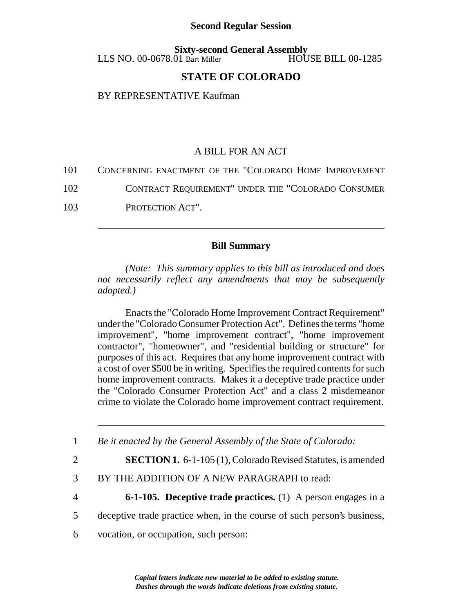## **Second Regular Session**

**Sixty-second General Assembly**<br>01 Bart Miller HOUSE BILL 00-1285  $LLS$  NO. 00-0678.01 Bart Miller

## **STATE OF COLORADO**

BY REPRESENTATIVE Kaufman

## A BILL FOR AN ACT

| 101<br>CONCERNING ENACTMENT OF THE "COLORADO HOME IMPROVEMENT |
|---------------------------------------------------------------|
|---------------------------------------------------------------|

- 102 CONTRACT REQUIREMENT" UNDER THE "COLORADO CONSUMER
- 103 PROTECTION ACT".

## **Bill Summary**

*(Note: This summary applies to this bill as introduced and does not necessarily reflect any amendments that may be subsequently adopted.)*

Enacts the "Colorado Home Improvement Contract Requirement" under the "Colorado Consumer Protection Act". Defines the terms "home improvement", "home improvement contract", "home improvement contractor", "homeowner", and "residential building or structure" for purposes of this act. Requires that any home improvement contract with a cost of over \$500 be in writing. Specifies the required contents for such home improvement contracts. Makes it a deceptive trade practice under the "Colorado Consumer Protection Act" and a class 2 misdemeanor crime to violate the Colorado home improvement contract requirement.

1 *Be it enacted by the General Assembly of the State of Colorado:*

2 **SECTION 1.** 6-1-105 (1), Colorado Revised Statutes, is amended

- 3 BY THE ADDITION OF A NEW PARAGRAPH to read:
- 4 **6-1-105. Deceptive trade practices.** (1) A person engages in a
- 5 deceptive trade practice when, in the course of such person's business,
- 6 vocation, or occupation, such person: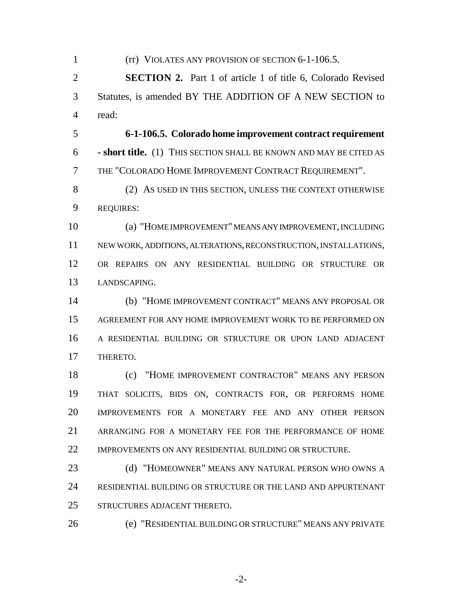1 (rr) VIOLATES ANY PROVISION OF SECTION 6-1-106.5. **SECTION 2.** Part 1 of article 1 of title 6, Colorado Revised Statutes, is amended BY THE ADDITION OF A NEW SECTION to read: **6-1-106.5. Colorado home improvement contract requirement - short title.** (1) THIS SECTION SHALL BE KNOWN AND MAY BE CITED AS THE "COLORADO HOME IMPROVEMENT CONTRACT REQUIREMENT". (2) AS USED IN THIS SECTION, UNLESS THE CONTEXT OTHERWISE REQUIRES: (a) "HOME IMPROVEMENT" MEANS ANY IMPROVEMENT, INCLUDING NEW WORK, ADDITIONS, ALTERATIONS, RECONSTRUCTION, INSTALLATIONS, OR REPAIRS ON ANY RESIDENTIAL BUILDING OR STRUCTURE OR LANDSCAPING. (b) "HOME IMPROVEMENT CONTRACT" MEANS ANY PROPOSAL OR AGREEMENT FOR ANY HOME IMPROVEMENT WORK TO BE PERFORMED ON A RESIDENTIAL BUILDING OR STRUCTURE OR UPON LAND ADJACENT THERETO. (c) "HOME IMPROVEMENT CONTRACTOR" MEANS ANY PERSON THAT SOLICITS, BIDS ON, CONTRACTS FOR, OR PERFORMS HOME IMPROVEMENTS FOR A MONETARY FEE AND ANY OTHER PERSON ARRANGING FOR A MONETARY FEE FOR THE PERFORMANCE OF HOME 22 IMPROVEMENTS ON ANY RESIDENTIAL BUILDING OR STRUCTURE. 23 (d) "HOMEOWNER" MEANS ANY NATURAL PERSON WHO OWNS A RESIDENTIAL BUILDING OR STRUCTURE OR THE LAND AND APPURTENANT STRUCTURES ADJACENT THERETO. (e) "RESIDENTIAL BUILDING OR STRUCTURE" MEANS ANY PRIVATE

-2-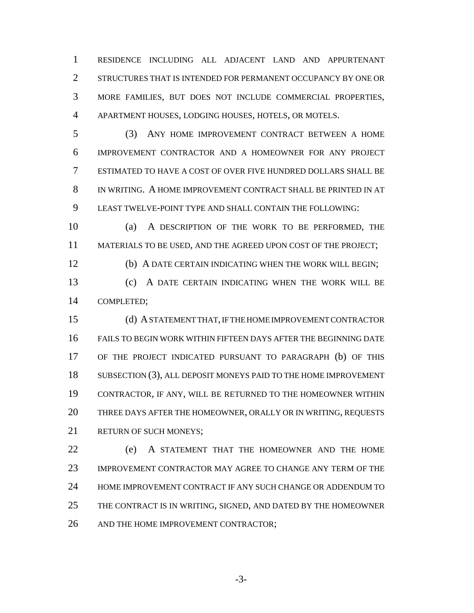RESIDENCE INCLUDING ALL ADJACENT LAND AND APPURTENANT STRUCTURES THAT IS INTENDED FOR PERMANENT OCCUPANCY BY ONE OR MORE FAMILIES, BUT DOES NOT INCLUDE COMMERCIAL PROPERTIES, APARTMENT HOUSES, LODGING HOUSES, HOTELS, OR MOTELS.

 (3) ANY HOME IMPROVEMENT CONTRACT BETWEEN A HOME IMPROVEMENT CONTRACTOR AND A HOMEOWNER FOR ANY PROJECT ESTIMATED TO HAVE A COST OF OVER FIVE HUNDRED DOLLARS SHALL BE IN WRITING. A HOME IMPROVEMENT CONTRACT SHALL BE PRINTED IN AT LEAST TWELVE-POINT TYPE AND SHALL CONTAIN THE FOLLOWING:

 (a) A DESCRIPTION OF THE WORK TO BE PERFORMED, THE MATERIALS TO BE USED, AND THE AGREED UPON COST OF THE PROJECT;

(b) A DATE CERTAIN INDICATING WHEN THE WORK WILL BEGIN;

 (c) A DATE CERTAIN INDICATING WHEN THE WORK WILL BE COMPLETED;

 (d) A STATEMENT THAT, IF THE HOME IMPROVEMENT CONTRACTOR FAILS TO BEGIN WORK WITHIN FIFTEEN DAYS AFTER THE BEGINNING DATE OF THE PROJECT INDICATED PURSUANT TO PARAGRAPH (b) OF THIS SUBSECTION (3), ALL DEPOSIT MONEYS PAID TO THE HOME IMPROVEMENT CONTRACTOR, IF ANY, WILL BE RETURNED TO THE HOMEOWNER WITHIN THREE DAYS AFTER THE HOMEOWNER, ORALLY OR IN WRITING, REQUESTS 21 RETURN OF SUCH MONEYS:

 (e) A STATEMENT THAT THE HOMEOWNER AND THE HOME IMPROVEMENT CONTRACTOR MAY AGREE TO CHANGE ANY TERM OF THE HOME IMPROVEMENT CONTRACT IF ANY SUCH CHANGE OR ADDENDUM TO THE CONTRACT IS IN WRITING, SIGNED, AND DATED BY THE HOMEOWNER AND THE HOME IMPROVEMENT CONTRACTOR;

-3-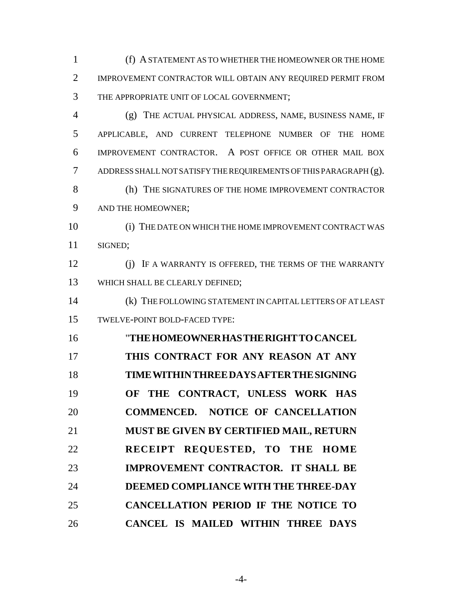(f) A STATEMENT AS TO WHETHER THE HOMEOWNER OR THE HOME IMPROVEMENT CONTRACTOR WILL OBTAIN ANY REQUIRED PERMIT FROM THE APPROPRIATE UNIT OF LOCAL GOVERNMENT;

 (g) THE ACTUAL PHYSICAL ADDRESS, NAME, BUSINESS NAME, IF APPLICABLE, AND CURRENT TELEPHONE NUMBER OF THE HOME IMPROVEMENT CONTRACTOR. A POST OFFICE OR OTHER MAIL BOX ADDRESS SHALL NOT SATISFY THE REQUIREMENTS OF THIS PARAGRAPH (g). (h) THE SIGNATURES OF THE HOME IMPROVEMENT CONTRACTOR AND THE HOMEOWNER; (i) THE DATE ON WHICH THE HOME IMPROVEMENT CONTRACT WAS SIGNED; (j) IF A WARRANTY IS OFFERED, THE TERMS OF THE WARRANTY WHICH SHALL BE CLEARLY DEFINED; (k) THE FOLLOWING STATEMENT IN CAPITAL LETTERS OF AT LEAST TWELVE-POINT BOLD-FACED TYPE: "**THEHOMEOWNERHASTHERIGHTTOCANCEL THIS CONTRACT FOR ANY REASON AT ANY TIMEWITHINTHREEDAYSAFTERTHESIGNING OF THE CONTRACT, UNLESS WORK HAS COMMENCED. NOTICE OF CANCELLATION MUST BE GIVEN BY CERTIFIED MAIL, RETURN RECEIPT REQUESTED, TO THE HOME IMPROVEMENT CONTRACTOR. IT SHALL BE DEEMED COMPLIANCE WITH THE THREE-DAY**

**CANCEL IS MAILED WITHIN THREE DAYS**

**CANCELLATION PERIOD IF THE NOTICE TO**

-4-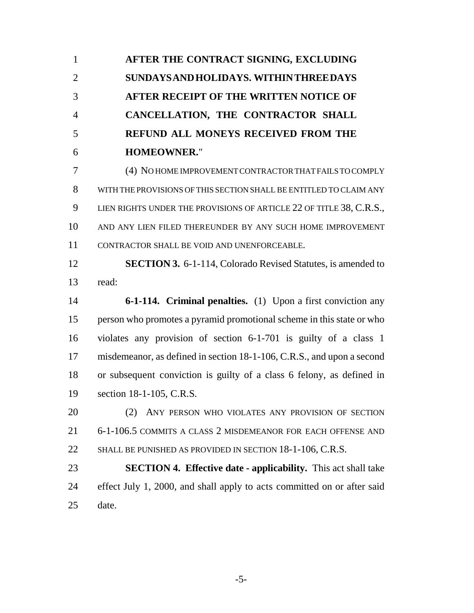**AFTER THE CONTRACT SIGNING, EXCLUDING SUNDAYSANDHOLIDAYS. WITHINTHREEDAYS AFTER RECEIPT OF THE WRITTEN NOTICE OF CANCELLATION, THE CONTRACTOR SHALL REFUND ALL MONEYS RECEIVED FROM THE HOMEOWNER.**"

 (4) NO HOME IMPROVEMENT CONTRACTOR THAT FAILS TO COMPLY WITH THE PROVISIONS OF THIS SECTION SHALL BE ENTITLED TO CLAIM ANY 9 LIEN RIGHTS UNDER THE PROVISIONS OF ARTICLE 22 OF TITLE 38, C.R.S., AND ANY LIEN FILED THEREUNDER BY ANY SUCH HOME IMPROVEMENT CONTRACTOR SHALL BE VOID AND UNENFORCEABLE.

 **SECTION 3.** 6-1-114, Colorado Revised Statutes, is amended to read:

 **6-1-114. Criminal penalties.** (1) Upon a first conviction any person who promotes a pyramid promotional scheme in this state or who violates any provision of section 6-1-701 is guilty of a class 1 misdemeanor, as defined in section 18-1-106, C.R.S., and upon a second or subsequent conviction is guilty of a class 6 felony, as defined in section 18-1-105, C.R.S.

 (2) ANY PERSON WHO VIOLATES ANY PROVISION OF SECTION 6-1-106.5 COMMITS A CLASS 2 MISDEMEANOR FOR EACH OFFENSE AND 22 SHALL BE PUNISHED AS PROVIDED IN SECTION 18-1-106, C.R.S.

 **SECTION 4. Effective date - applicability.** This act shall take 24 effect July 1, 2000, and shall apply to acts committed on or after said date.

-5-